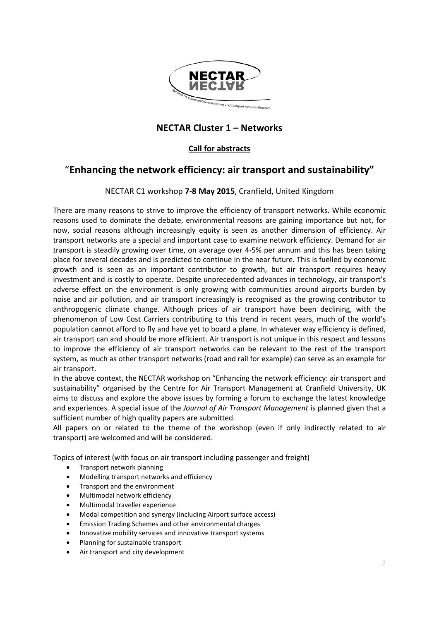

## **NECTAR Cluster 1 – Networks**

### **Call for abstracts**

# "**Enhancing the network efficiency: air transport and sustainability"**

### NECTAR C1 workshop **7-8 May 2015**, Cranfield, United Kingdom

There are many reasons to strive to improve the efficiency of transport networks. While economic reasons used to dominate the debate, environmental reasons are gaining importance but not, for now, social reasons although increasingly equity is seen as another dimension of efficiency. Air transport networks are a special and important case to examine network efficiency. Demand for air transport is steadily growing over time, on average over 4-5% per annum and this has been taking place for several decades and is predicted to continue in the near future. This is fuelled by economic growth and is seen as an important contributor to growth, but air transport requires heavy investment and is costly to operate. Despite unprecedented advances in technology, air transport's adverse effect on the environment is only growing with communities around airports burden by noise and air pollution, and air transport increasingly is recognised as the growing contributor to anthropogenic climate change. Although prices of air transport have been declining, with the phenomenon of Low Cost Carriers contributing to this trend in recent years, much of the world's population cannot afford to fly and have yet to board a plane. In whatever way efficiency is defined, air transport can and should be more efficient. Air transport is not unique in this respect and lessons to improve the efficiency of air transport networks can be relevant to the rest of the transport system, as much as other transport networks (road and rail for example) can serve as an example for air transport.

In the above context, the NECTAR workshop on "Enhancing the network efficiency: air transport and sustainability" organised by the Centre for Air Transport Management at Cranfield University, UK aims to discuss and explore the above issues by forming a forum to exchange the latest knowledge and experiences. A special issue of the *Journal of Air Transport Management* is planned given that a sufficient number of high quality papers are submitted.

All papers on or related to the theme of the workshop (even if only indirectly related to air transport) are welcomed and will be considered.

Topics of interest (with focus on air transport including passenger and freight)

- Transport network planning
- Modelling transport networks and efficiency
- Transport and the environment
- Multimodal network efficiency
- Multimodal traveller experience
- Modal competition and synergy (including Airport surface access)
- Emission Trading Schemes and other environmental charges
- Innovative mobility services and innovative transport systems
- Planning for sustainable transport
- Air transport and city development